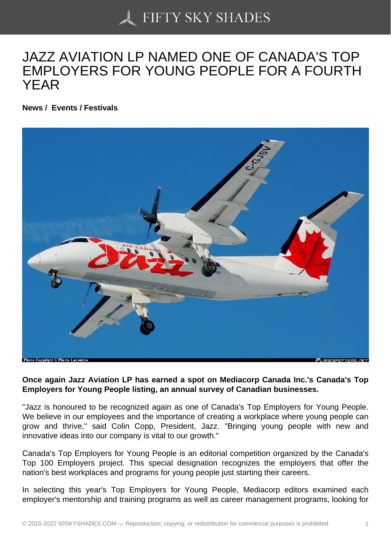## [JAZZ AVIATION LP NA](https://50skyshades.com)MED ONE OF CANADA'S TOP EMPLOYERS FOR YOUNG PEOPLE FOR A FOURTH YEAR

News / Events / Festivals

Once again Jazz Aviation LP has earned a spot on Mediacorp Canada Inc.'s Canada's Top Employers for Young People listing, an annual survey of Canadian businesses.

"Jazz is honoured to be recognized again as one of Canada's Top Employers for Young People. We believe in our employees and the importance of creating a workplace where young people can grow and thrive," said Colin Copp, President, Jazz. "Bringing young people with new and innovative ideas into our company is vital to our growth."

Canada's Top Employers for Young People is an editorial competition organized by the Canada's Top 100 Employers project. This special designation recognizes the employers that offer the nation's best workplaces and programs for young people just starting their careers.

In selecting this year's Top Employers for Young People, Mediacorp editors examined each employer's mentorship and training programs as well as career management programs, looking for